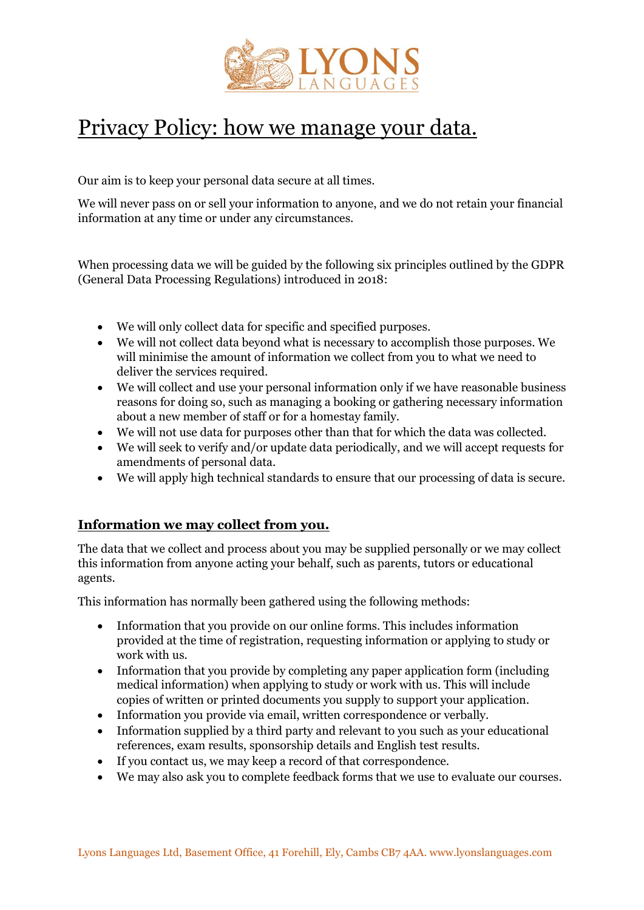

# Privacy Policy: how we manage your data.

Our aim is to keep your personal data secure at all times.

We will never pass on or sell your information to anyone, and we do not retain your financial information at any time or under any circumstances.

When processing data we will be guided by the following six principles outlined by the GDPR (General Data Processing Regulations) introduced in 2018:

- We will only collect data for specific and specified purposes.
- We will not collect data beyond what is necessary to accomplish those purposes. We will minimise the amount of information we collect from you to what we need to deliver the services required.
- We will collect and use your personal information only if we have reasonable business reasons for doing so, such as managing a booking or gathering necessary information about a new member of staff or for a homestay family.
- We will not use data for purposes other than that for which the data was collected.
- We will seek to verify and/or update data periodically, and we will accept requests for amendments of personal data.
- We will apply high technical standards to ensure that our processing of data is secure.

## **Information we may collect from you.**

The data that we collect and process about you may be supplied personally or we may collect this information from anyone acting your behalf, such as parents, tutors or educational agents.

This information has normally been gathered using the following methods:

- Information that you provide on our online forms. This includes information provided at the time of registration, requesting information or applying to study or work with us.
- Information that you provide by completing any paper application form (including medical information) when applying to study or work with us. This will include copies of written or printed documents you supply to support your application.
- Information you provide via email, written correspondence or verbally.
- Information supplied by a third party and relevant to you such as your educational references, exam results, sponsorship details and English test results.
- If you contact us, we may keep a record of that correspondence.
- We may also ask you to complete feedback forms that we use to evaluate our courses.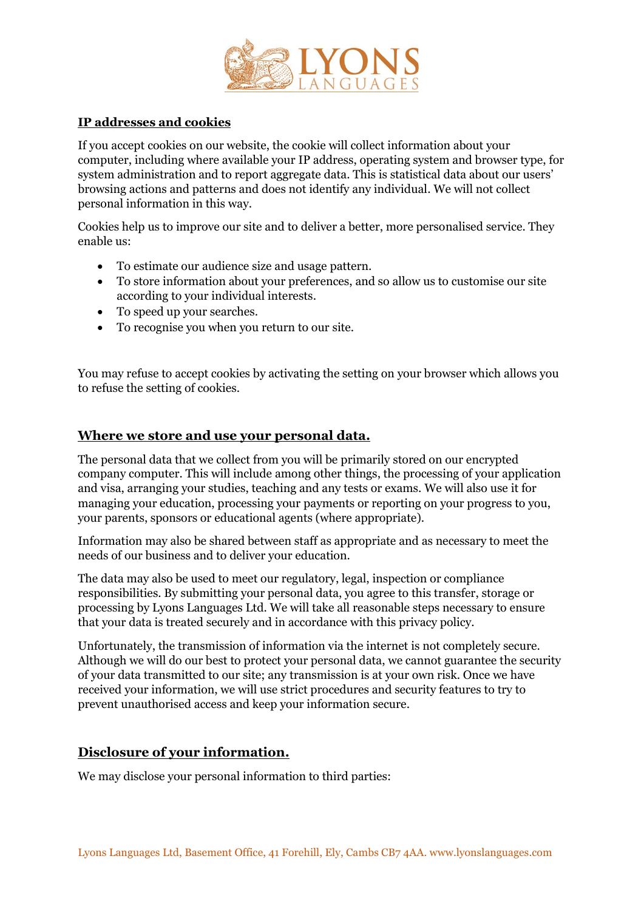

## **IP addresses and cookies**

If you accept cookies on our website, the cookie will collect information about your computer, including where available your IP address, operating system and browser type, for system administration and to report aggregate data. This is statistical data about our users' browsing actions and patterns and does not identify any individual. We will not collect personal information in this way.

Cookies help us to improve our site and to deliver a better, more personalised service. They enable us:

- To estimate our audience size and usage pattern.
- To store information about your preferences, and so allow us to customise our site according to your individual interests.
- To speed up your searches.
- To recognise you when you return to our site.

You may refuse to accept cookies by activating the setting on your browser which allows you to refuse the setting of cookies.

## **Where we store and use your personal data.**

The personal data that we collect from you will be primarily stored on our encrypted company computer. This will include among other things, the processing of your application and visa, arranging your studies, teaching and any tests or exams. We will also use it for managing your education, processing your payments or reporting on your progress to you, your parents, sponsors or educational agents (where appropriate).

Information may also be shared between staff as appropriate and as necessary to meet the needs of our business and to deliver your education.

The data may also be used to meet our regulatory, legal, inspection or compliance responsibilities. By submitting your personal data, you agree to this transfer, storage or processing by Lyons Languages Ltd. We will take all reasonable steps necessary to ensure that your data is treated securely and in accordance with this privacy policy.

Unfortunately, the transmission of information via the internet is not completely secure. Although we will do our best to protect your personal data, we cannot guarantee the security of your data transmitted to our site; any transmission is at your own risk. Once we have received your information, we will use strict procedures and security features to try to prevent unauthorised access and keep your information secure.

# **Disclosure of your information.**

We may disclose your personal information to third parties: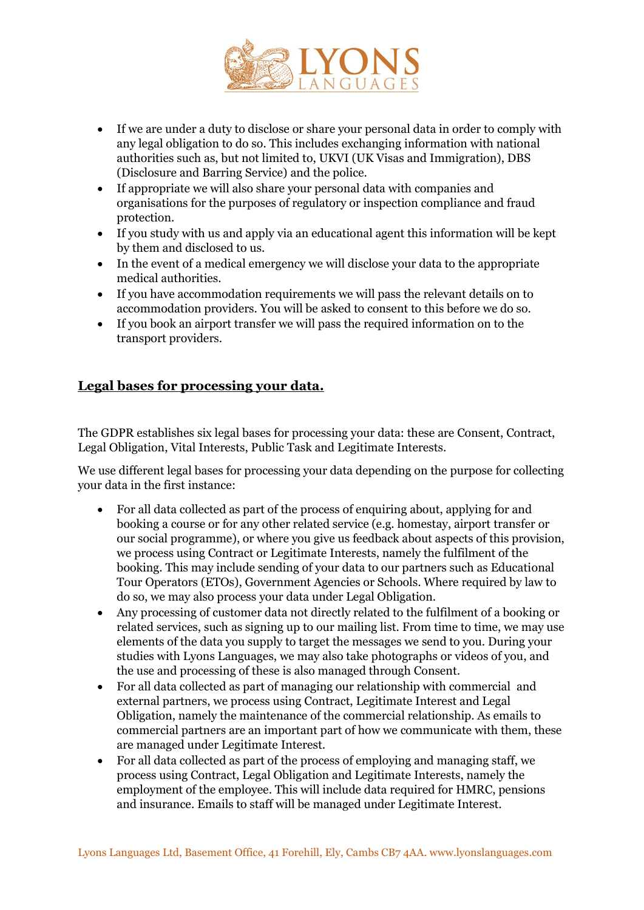

- If we are under a duty to disclose or share your personal data in order to comply with any legal obligation to do so. This includes exchanging information with national authorities such as, but not limited to, UKVI (UK Visas and Immigration), DBS (Disclosure and Barring Service) and the police.
- If appropriate we will also share your personal data with companies and organisations for the purposes of regulatory or inspection compliance and fraud protection.
- If you study with us and apply via an educational agent this information will be kept by them and disclosed to us.
- In the event of a medical emergency we will disclose your data to the appropriate medical authorities.
- If you have accommodation requirements we will pass the relevant details on to accommodation providers. You will be asked to consent to this before we do so.
- If you book an airport transfer we will pass the required information on to the transport providers.

# **Legal bases for processing your data.**

The GDPR establishes six legal bases for processing your data: these are Consent, Contract, Legal Obligation, Vital Interests, Public Task and Legitimate Interests.

We use different legal bases for processing your data depending on the purpose for collecting your data in the first instance:

- For all data collected as part of the process of enquiring about, applying for and booking a course or for any other related service (e.g. homestay, airport transfer or our social programme), or where you give us feedback about aspects of this provision, we process using Contract or Legitimate Interests, namely the fulfilment of the booking. This may include sending of your data to our partners such as Educational Tour Operators (ETOs), Government Agencies or Schools. Where required by law to do so, we may also process your data under Legal Obligation.
- Any processing of customer data not directly related to the fulfilment of a booking or related services, such as signing up to our mailing list. From time to time, we may use elements of the data you supply to target the messages we send to you. During your studies with Lyons Languages, we may also take photographs or videos of you, and the use and processing of these is also managed through Consent.
- For all data collected as part of managing our relationship with commercial and external partners, we process using Contract, Legitimate Interest and Legal Obligation, namely the maintenance of the commercial relationship. As emails to commercial partners are an important part of how we communicate with them, these are managed under Legitimate Interest.
- For all data collected as part of the process of employing and managing staff, we process using Contract, Legal Obligation and Legitimate Interests, namely the employment of the employee. This will include data required for HMRC, pensions and insurance. Emails to staff will be managed under Legitimate Interest.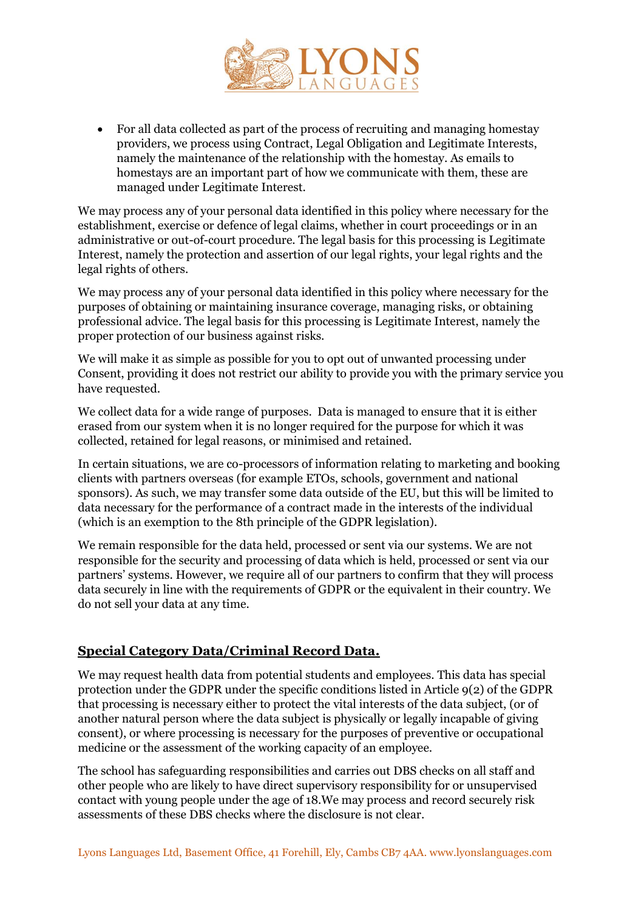

• For all data collected as part of the process of recruiting and managing homestay providers, we process using Contract, Legal Obligation and Legitimate Interests, namely the maintenance of the relationship with the homestay. As emails to homestays are an important part of how we communicate with them, these are managed under Legitimate Interest.

We may process any of your personal data identified in this policy where necessary for the establishment, exercise or defence of legal claims, whether in court proceedings or in an administrative or out-of-court procedure. The legal basis for this processing is Legitimate Interest, namely the protection and assertion of our legal rights, your legal rights and the legal rights of others.

We may process any of your personal data identified in this policy where necessary for the purposes of obtaining or maintaining insurance coverage, managing risks, or obtaining professional advice. The legal basis for this processing is Legitimate Interest, namely the proper protection of our business against risks.

We will make it as simple as possible for you to opt out of unwanted processing under Consent, providing it does not restrict our ability to provide you with the primary service you have requested.

We collect data for a wide range of purposes. Data is managed to ensure that it is either erased from our system when it is no longer required for the purpose for which it was collected, retained for legal reasons, or minimised and retained.

In certain situations, we are co-processors of information relating to marketing and booking clients with partners overseas (for example ETOs, schools, government and national sponsors). As such, we may transfer some data outside of the EU, but this will be limited to data necessary for the performance of a contract made in the interests of the individual (which is an exemption to the 8th principle of the GDPR legislation).

We remain responsible for the data held, processed or sent via our systems. We are not responsible for the security and processing of data which is held, processed or sent via our partners' systems. However, we require all of our partners to confirm that they will process data securely in line with the requirements of GDPR or the equivalent in their country. We do not sell your data at any time.

## **Special Category Data/Criminal Record Data.**

We may request health data from potential students and employees. This data has special protection under the GDPR under the specific conditions listed in Article 9(2) of the GDPR that processing is necessary either to protect the vital interests of the data subject, (or of another natural person where the data subject is physically or legally incapable of giving consent), or where processing is necessary for the purposes of preventive or occupational medicine or the assessment of the working capacity of an employee.

The school has safeguarding responsibilities and carries out DBS checks on all staff and other people who are likely to have direct supervisory responsibility for or unsupervised contact with young people under the age of 18.We may process and record securely risk assessments of these DBS checks where the disclosure is not clear.